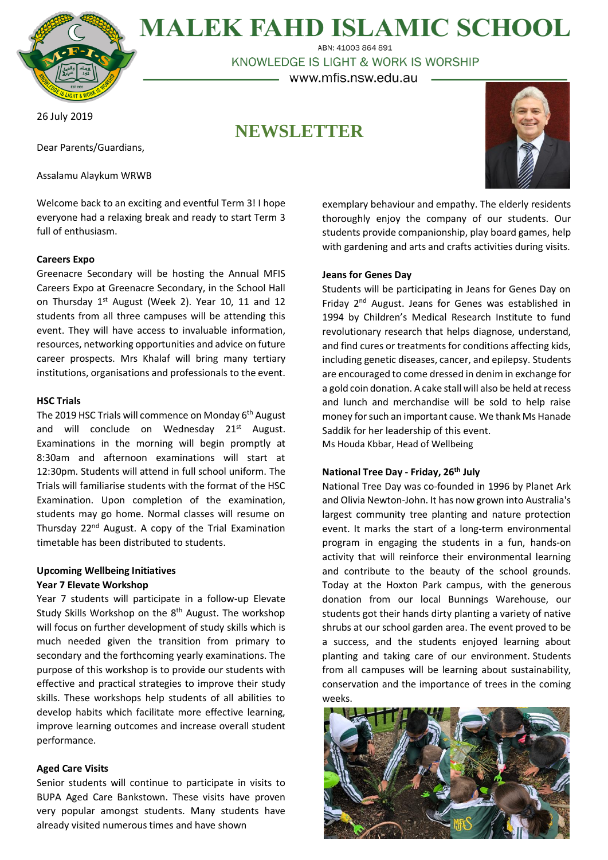

**MALEK FAHD ISLAMIC SCHOOL** ABN: 41003 864 891

KNOWLEDGE IS LIGHT & WORK IS WORSHIP

– www.mfis.nsw.edu.au –

26 July 2019

**NEWSLETTER**

Dear Parents/Guardians,

Assalamu Alaykum WRWB

Welcome back to an exciting and eventful Term 3! I hope everyone had a relaxing break and ready to start Term 3 full of enthusiasm.

## **Careers Expo**

Greenacre Secondary will be hosting the Annual MFIS Careers Expo at Greenacre Secondary, in the School Hall on Thursday 1<sup>st</sup> August (Week 2). Year 10, 11 and 12 students from all three campuses will be attending this event. They will have access to invaluable information, resources, networking opportunities and advice on future career prospects. Mrs Khalaf will bring many tertiary institutions, organisations and professionals to the event.

## **HSC Trials**

The 2019 HSC Trials will commence on Monday 6<sup>th</sup> August and will conclude on Wednesday 21<sup>st</sup> August. Examinations in the morning will begin promptly at 8:30am and afternoon examinations will start at 12:30pm. Students will attend in full school uniform. The Trials will familiarise students with the format of the HSC Examination. Upon completion of the examination, students may go home. Normal classes will resume on Thursday 22<sup>nd</sup> August. A copy of the Trial Examination timetable has been distributed to students.

## **Upcoming Wellbeing Initiatives Year 7 Elevate Workshop**

Year 7 students will participate in a follow-up Elevate Study Skills Workshop on the 8<sup>th</sup> August. The workshop will focus on further development of study skills which is much needed given the transition from primary to secondary and the forthcoming yearly examinations. The purpose of this workshop is to provide our students with effective and practical strategies to improve their study skills. These workshops help students of all abilities to develop habits which facilitate more effective learning, improve learning outcomes and increase overall student performance.

## **Aged Care Visits**

Senior students will continue to participate in visits to BUPA Aged Care Bankstown. These visits have proven very popular amongst students. Many students have already visited numerous times and have shown



exemplary behaviour and empathy. The elderly residents thoroughly enjoy the company of our students. Our students provide companionship, play board games, help with gardening and arts and crafts activities during visits.

#### **Jeans for Genes Day**

Students will be participating in Jeans for Genes Day on Friday 2nd August. Jeans for Genes was established in 1994 by Children's Medical Research Institute to fund revolutionary research that helps diagnose, understand, and find cures or treatments for conditions affecting kids, including genetic diseases, cancer, and epilepsy. Students are encouraged to come dressed in denim in exchange for a gold coin donation. A cake stall will also be held at recess and lunch and merchandise will be sold to help raise money for such an important cause. We thank Ms Hanade Saddik for her leadership of this event. Ms Houda Kbbar, Head of Wellbeing

## **National Tree Day - Friday, 26th July**

National Tree Day was co-founded in 1996 by Planet Ark and Olivia Newton-John. It has now grown into Australia's largest community tree planting and nature protection event. It marks the start of a long-term environmental program in engaging the students in a fun, hands-on activity that will reinforce their environmental learning and contribute to the beauty of the school grounds. Today at the Hoxton Park campus, with the generous donation from our local Bunnings Warehouse, our students got their hands dirty planting a variety of native shrubs at our school garden area. The event proved to be a success, and the students enjoyed learning about planting and taking care of our environment. Students from all campuses will be learning about sustainability, conservation and the importance of trees in the coming weeks.